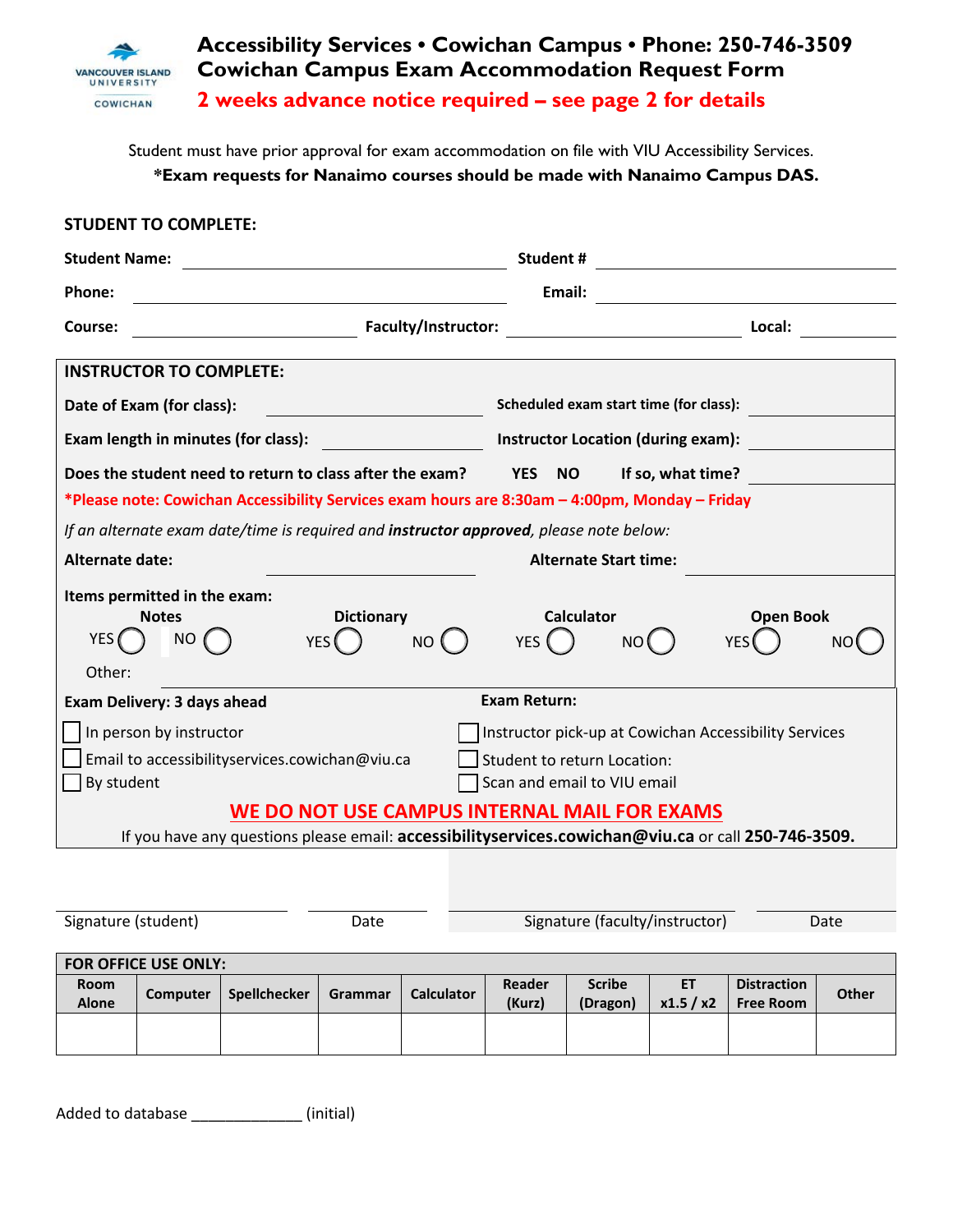

Student must have prior approval for exam accommodation on file with VIU Accessibility Services. **\*Exam requests for Nanaimo courses should be made with Nanaimo Campus DAS.**

| <b>STUDENT TO COMPLETE:</b>                                                                                                |                                              |                                                       |                                |                                |      |  |  |  |  |  |
|----------------------------------------------------------------------------------------------------------------------------|----------------------------------------------|-------------------------------------------------------|--------------------------------|--------------------------------|------|--|--|--|--|--|
| <b>Student Name:</b>                                                                                                       |                                              | Student #                                             |                                |                                |      |  |  |  |  |  |
| Phone:                                                                                                                     |                                              | Email:                                                |                                |                                |      |  |  |  |  |  |
| Course:                                                                                                                    | <b>Faculty/Instructor:</b>                   | Local:                                                |                                |                                |      |  |  |  |  |  |
| <b>INSTRUCTOR TO COMPLETE:</b>                                                                                             |                                              |                                                       |                                |                                |      |  |  |  |  |  |
| Date of Exam (for class):                                                                                                  |                                              | Scheduled exam start time (for class):                |                                |                                |      |  |  |  |  |  |
| Exam length in minutes (for class):                                                                                        | Instructor Location (during exam):           |                                                       |                                |                                |      |  |  |  |  |  |
| Does the student need to return to class after the exam?                                                                   |                                              | <b>YES</b><br><b>NO</b>                               | If so, what time?              |                                |      |  |  |  |  |  |
| *Please note: Cowichan Accessibility Services exam hours are 8:30am - 4:00pm, Monday - Friday                              |                                              |                                                       |                                |                                |      |  |  |  |  |  |
| If an alternate exam date/time is required and instructor approved, please note below:                                     |                                              |                                                       |                                |                                |      |  |  |  |  |  |
| Alternate date:                                                                                                            |                                              |                                                       | <b>Alternate Start time:</b>   |                                |      |  |  |  |  |  |
| Items permitted in the exam:<br><b>Notes</b><br>YES <sub>1</sub><br>NO.<br>Other:                                          | <b>Dictionary</b><br><b>NO</b><br><b>YES</b> | <b>Calculator</b><br><b>YES</b>                       | NO (                           | <b>Open Book</b><br><b>YES</b> | NO   |  |  |  |  |  |
| Exam Delivery: 3 days ahead                                                                                                |                                              | <b>Exam Return:</b>                                   |                                |                                |      |  |  |  |  |  |
| In person by instructor                                                                                                    |                                              | Instructor pick-up at Cowichan Accessibility Services |                                |                                |      |  |  |  |  |  |
| Email to accessibilityservices.cowichan@viu.ca<br>Student to return Location:<br>By student<br>Scan and email to VIU email |                                              |                                                       |                                |                                |      |  |  |  |  |  |
| WE DO NOT USE CAMPUS INTERNAL MAIL FOR EXAMS                                                                               |                                              |                                                       |                                |                                |      |  |  |  |  |  |
| If you have any questions please email: accessibilityservices.cowichan@viu.ca or call 250-746-3509.                        |                                              |                                                       |                                |                                |      |  |  |  |  |  |
|                                                                                                                            |                                              |                                                       |                                |                                |      |  |  |  |  |  |
| Signature (student)                                                                                                        | Date                                         |                                                       | Signature (faculty/instructor) |                                | Date |  |  |  |  |  |
| FOR OFFICE USE ONLY:                                                                                                       |                                              |                                                       |                                |                                |      |  |  |  |  |  |

| Room         | <b>Computer</b> | Spellchecker | Grammar | <b>Calculator</b> | Reader | <b>Scribe</b> | ET        | <b>Distraction</b> | <b>Other</b> |  |  |  |  |
|--------------|-----------------|--------------|---------|-------------------|--------|---------------|-----------|--------------------|--------------|--|--|--|--|
| <b>Alone</b> |                 |              |         |                   | (Kurz) | (Dragon)      | x1.5 / x2 | <b>Free Room</b>   |              |  |  |  |  |
|              |                 |              |         |                   |        |               |           |                    |              |  |  |  |  |
|              |                 |              |         |                   |        |               |           |                    |              |  |  |  |  |
|              |                 |              |         |                   |        |               |           |                    |              |  |  |  |  |

Added to database \_\_\_\_\_\_\_\_\_\_\_\_\_ (initial)